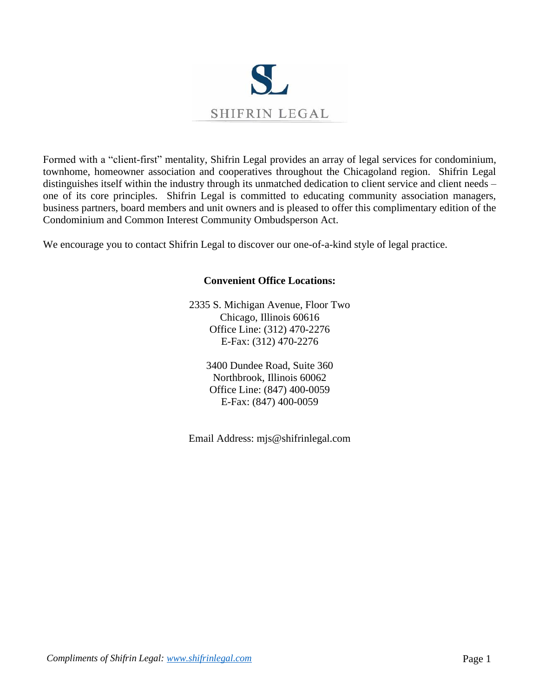

Formed with a "client-first" mentality, Shifrin Legal provides an array of legal services for condominium, townhome, homeowner association and cooperatives throughout the Chicagoland region. Shifrin Legal distinguishes itself within the industry through its unmatched dedication to client service and client needs – one of its core principles. Shifrin Legal is committed to educating community association managers, business partners, board members and unit owners and is pleased to offer this complimentary edition of the Condominium and Common Interest Community Ombudsperson Act.

We encourage you to contact Shifrin Legal to discover our one-of-a-kind style of legal practice.

## **Convenient Office Locations:**

2335 S. Michigan Avenue, Floor Two Chicago, Illinois 60616 Office Line: (312) 470-2276 E-Fax: (312) 470-2276

> 3400 Dundee Road, Suite 360 Northbrook, Illinois 60062 Office Line: (847) 400-0059 E-Fax: (847) 400-0059

Email Address: mjs@shifrinlegal.com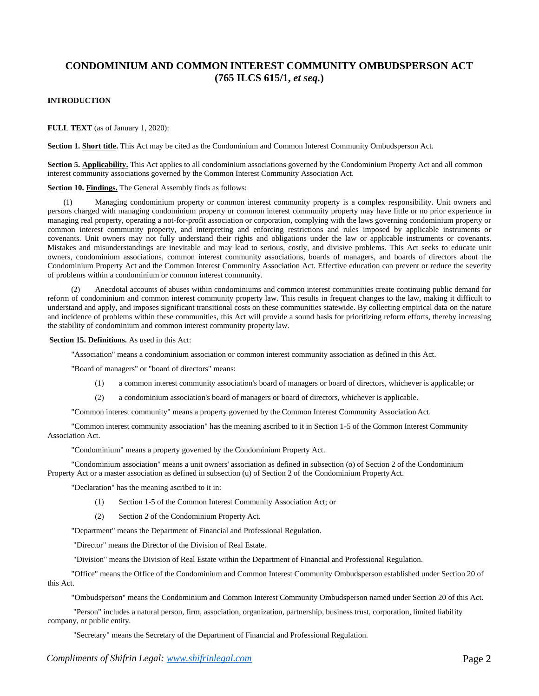# **CONDOMINIUM AND COMMON INTEREST COMMUNITY OMBUDSPERSON ACT (765 ILCS 615/1,** *et seq.***)**

## **INTRODUCTION**

**FULL TEXT** (as of January 1, 2020):

**Section 1. Short title.** This Act may be cited as the Condominium and Common Interest Community Ombudsperson Act.

**Section 5. Applicability.** This Act applies to all condominium associations governed by the Condominium Property Act and all common interest community associations governed by the Common Interest Community Association Act.

### **Section 10. Findings.** The General Assembly finds as follows:

(1) Managing condominium property or common interest community property is a complex responsibility. Unit owners and persons charged with managing condominium property or common interest community property may have little or no prior experience in managing real property, operating a not-for-profit association or corporation, complying with the laws governing condominium property or common interest community property, and interpreting and enforcing restrictions and rules imposed by applicable instruments or covenants. Unit owners may not fully understand their rights and obligations under the law or applicable instruments or covenants. Mistakes and misunderstandings are inevitable and may lead to serious, costly, and divisive problems. This Act seeks to educate unit owners, condominium associations, common interest community associations, boards of managers, and boards of directors about the Condominium Property Act and the Common Interest Community Association Act. Effective education can prevent or reduce the severity of problems within a condominium or common interest community.

(2) Anecdotal accounts of abuses within condominiums and common interest communities create continuing public demand for reform of condominium and common interest community property law. This results in frequent changes to the law, making it difficult to understand and apply, and imposes significant transitional costs on these communities statewide. By collecting empirical data on the nature and incidence of problems within these communities, this Act will provide a sound basis for prioritizing reform efforts, thereby increasing the stability of condominium and common interest community property law.

**Section 15. Definitions.** As used in this Act:

"Association" means a condominium association or common interest community association as defined in this Act.

"Board of managers" or "board of directors" means:

- (1) a common interest community association's board of managers or board of directors, whichever is applicable; or
- (2) a condominium association's board of managers or board of directors, whichever is applicable.

"Common interest community" means a property governed by the Common Interest Community Association Act.

"Common interest community association" has the meaning ascribed to it in Section 1-5 of the Common Interest Community Association Act.

"Condominium" means a property governed by the Condominium Property Act.

"Condominium association" means a unit owners' association as defined in subsection (o) of Section 2 of the Condominium Property Act or a master association as defined in subsection (u) of Section 2 of the Condominium PropertyAct.

"Declaration" has the meaning ascribed to it in:

- (1) Section 1-5 of the Common Interest Community Association Act; or
- (2) Section 2 of the Condominium Property Act.

"Department" means the Department of Financial and Professional Regulation.

"Director" means the Director of the Division of Real Estate.

"Division" means the Division of Real Estate within the Department of Financial and Professional Regulation.

"Office" means the Office of the Condominium and Common Interest Community Ombudsperson established under Section 20 of this Act.

"Ombudsperson" means the Condominium and Common Interest Community Ombudsperson named under Section 20 of this Act.

"Person" includes a natural person, firm, association, organization, partnership, business trust, corporation, limited liability company, or public entity.

"Secretary" means the Secretary of the Department of Financial and Professional Regulation.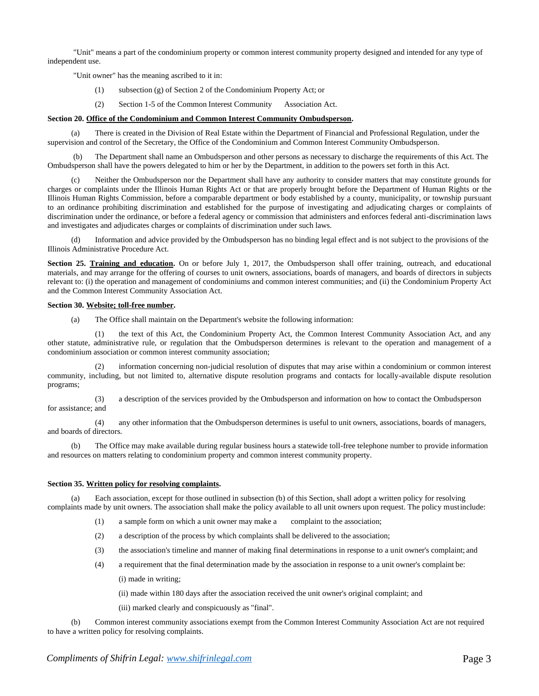"Unit" means a part of the condominium property or common interest community property designed and intended for any type of independent use.

"Unit owner" has the meaning ascribed to it in:

- (1) subsection (g) of Section 2 of the Condominium Property Act; or
- (2) Section 1-5 of the Common Interest Community Association Act.

## **Section 20. Office of the Condominium and Common Interest Community Ombudsperson.**

(a) There is created in the Division of Real Estate within the Department of Financial and Professional Regulation, under the supervision and control of the Secretary, the Office of the Condominium and Common Interest Community Ombudsperson.

(b) The Department shall name an Ombudsperson and other persons as necessary to discharge the requirements of this Act. The Ombudsperson shall have the powers delegated to him or her by the Department, in addition to the powers set forth in this Act.

Neither the Ombudsperson nor the Department shall have any authority to consider matters that may constitute grounds for charges or complaints under the Illinois Human Rights Act or that are properly brought before the Department of Human Rights or the Illinois Human Rights Commission, before a comparable department or body established by a county, municipality, or township pursuant to an ordinance prohibiting discrimination and established for the purpose of investigating and adjudicating charges or complaints of discrimination under the ordinance, or before a federal agency or commission that administers and enforces federal anti-discrimination laws and investigates and adjudicates charges or complaints of discrimination under such laws.

(d) Information and advice provided by the Ombudsperson has no binding legal effect and is not subject to the provisions of the Illinois Administrative Procedure Act.

**Section 25. Training and education.** On or before July 1, 2017, the Ombudsperson shall offer training, outreach, and educational materials, and may arrange for the offering of courses to unit owners, associations, boards of managers, and boards of directors in subjects relevant to: (i) the operation and management of condominiums and common interest communities; and (ii) the Condominium Property Act and the Common Interest Community Association Act.

### **Section 30. Website; toll-free number.**

(a) The Office shall maintain on the Department's website the following information:

the text of this Act, the Condominium Property Act, the Common Interest Community Association Act, and any other statute, administrative rule, or regulation that the Ombudsperson determines is relevant to the operation and management of a condominium association or common interest community association;

information concerning non-judicial resolution of disputes that may arise within a condominium or common interest community, including, but not limited to, alternative dispute resolution programs and contacts for locally-available dispute resolution programs;

(3) a description of the services provided by the Ombudsperson and information on how to contact the Ombudsperson for assistance; and

(4) any other information that the Ombudsperson determines is useful to unit owners, associations, boards of managers, and boards of directors.

(b) The Office may make available during regular business hours a statewide toll-free telephone number to provide information and resources on matters relating to condominium property and common interest community property.

## **Section 35. Written policy for resolving complaints.**

(a) Each association, except for those outlined in subsection (b) of this Section, shall adopt a written policy for resolving complaints made by unit owners. The association shall make the policy available to all unit owners upon request. The policy mustinclude:

- (1) a sample form on which a unit owner may make a complaint to the association;
- (2) a description of the process by which complaints shall be delivered to the association;
- (3) the association's timeline and manner of making final determinations in response to a unit owner's complaint; and
- (4) a requirement that the final determination made by the association in response to a unit owner's complaint be:
	- (i) made in writing;
	- (ii) made within 180 days after the association received the unit owner's original complaint; and
	- (iii) marked clearly and conspicuously as "final".

(b) Common interest community associations exempt from the Common Interest Community Association Act are not required to have a written policy for resolving complaints.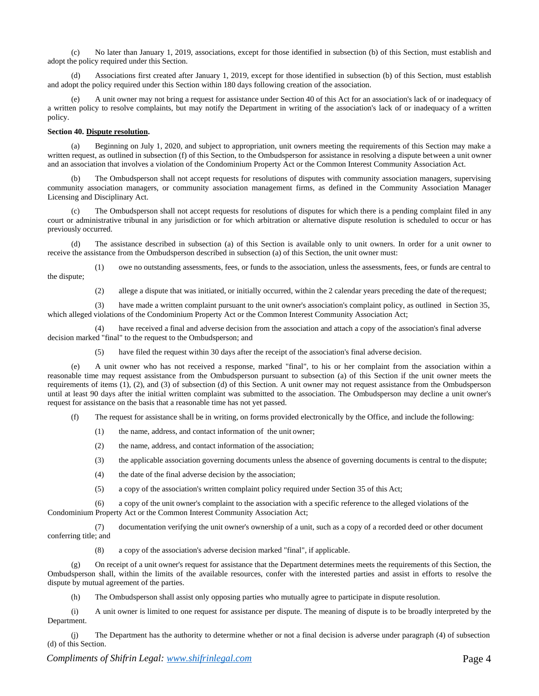(c) No later than January 1, 2019, associations, except for those identified in subsection (b) of this Section, must establish and adopt the policy required under this Section.

(d) Associations first created after January 1, 2019, except for those identified in subsection (b) of this Section, must establish and adopt the policy required under this Section within 180 days following creation of the association.

A unit owner may not bring a request for assistance under Section 40 of this Act for an association's lack of or inadequacy of a written policy to resolve complaints, but may notify the Department in writing of the association's lack of or inadequacy of a written policy.

## **Section 40. Dispute resolution.**

(a) Beginning on July 1, 2020, and subject to appropriation, unit owners meeting the requirements of this Section may make a written request, as outlined in subsection (f) of this Section, to the Ombudsperson for assistance in resolving a dispute between a unit owner and an association that involves a violation of the Condominium Property Act or the Common Interest Community Association Act.

(b) The Ombudsperson shall not accept requests for resolutions of disputes with community association managers, supervising community association managers, or community association management firms, as defined in the Community Association Manager Licensing and Disciplinary Act.

The Ombudsperson shall not accept requests for resolutions of disputes for which there is a pending complaint filed in any court or administrative tribunal in any jurisdiction or for which arbitration or alternative dispute resolution is scheduled to occur or has previously occurred.

(d) The assistance described in subsection (a) of this Section is available only to unit owners. In order for a unit owner to receive the assistance from the Ombudsperson described in subsection (a) of this Section, the unit owner must:

(1) owe no outstanding assessments, fees, or funds to the association, unless the assessments, fees, or funds are central to the dispute;

(2) allege a dispute that was initiated, or initially occurred, within the 2 calendar years preceding the date of the request;

(3) have made a written complaint pursuant to the unit owner's association's complaint policy, as outlined in Section 35, which alleged violations of the Condominium Property Act or the Common Interest Community Association Act;

have received a final and adverse decision from the association and attach a copy of the association's final adverse decision marked "final" to the request to the Ombudsperson; and

(5) have filed the request within 30 days after the receipt of the association's final adverse decision.

(e) A unit owner who has not received a response, marked "final", to his or her complaint from the association within a reasonable time may request assistance from the Ombudsperson pursuant to subsection (a) of this Section if the unit owner meets the requirements of items (1), (2), and (3) of subsection (d) of this Section. A unit owner may not request assistance from the Ombudsperson until at least 90 days after the initial written complaint was submitted to the association. The Ombudsperson may decline a unit owner's request for assistance on the basis that a reasonable time has not yet passed.

(f) The request for assistance shall be in writing, on forms provided electronically by the Office, and include the following:

- (1) the name, address, and contact information of the unit owner;
- (2) the name, address, and contact information of the association;
- (3) the applicable association governing documents unless the absence of governing documents is central to the dispute;
- (4) the date of the final adverse decision by the association;
- (5) a copy of the association's written complaint policy required under Section 35 of this Act;

(6) a copy of the unit owner's complaint to the association with a specific reference to the alleged violations of the Condominium Property Act or the Common Interest Community Association Act;

(7) documentation verifying the unit owner's ownership of a unit, such as a copy of a recorded deed or other document conferring title; and

(8) a copy of the association's adverse decision marked "final", if applicable.

(g) On receipt of a unit owner's request for assistance that the Department determines meets the requirements of this Section, the Ombudsperson shall, within the limits of the available resources, confer with the interested parties and assist in efforts to resolve the dispute by mutual agreement of the parties.

(h) The Ombudsperson shall assist only opposing parties who mutually agree to participate in dispute resolution.

(i) A unit owner is limited to one request for assistance per dispute. The meaning of dispute is to be broadly interpreted by the Department.

(j) The Department has the authority to determine whether or not a final decision is adverse under paragraph (4) of subsection (d) of this Section.